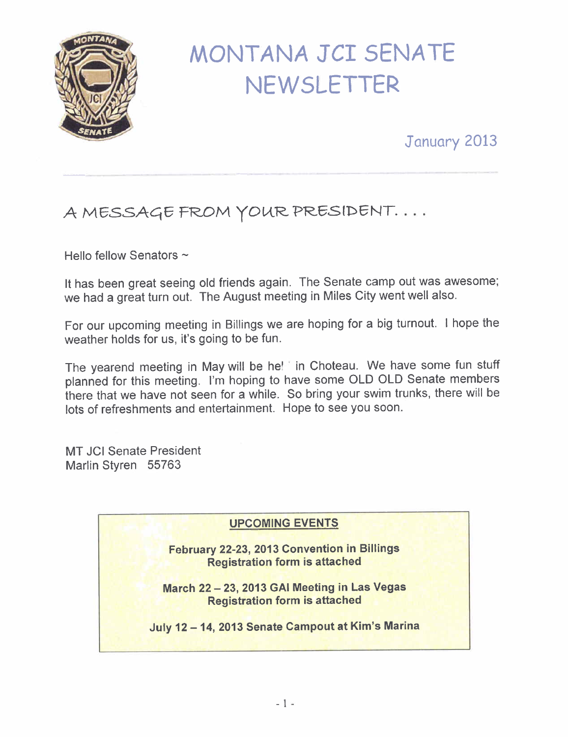

# MONTANA JCI SENATE **NEWSLETTER**

## January 2013

# A MESSAGE FROM YOUR PRESIDENT...

Hello fellow Senators  $\sim$ 

It has been great seeing old friends again. The Senate camp out was awesome; we had a great turn out. The August meeting in Miles City went well also.

For our upcoming meeting in Billings we are hoping for a big turnout. I hope the weather holds for us, it's going to be fun.

The yearend meeting in May will be he! ' in Choteau. We have some fun stuff planned for this meeting. I'm hoping to have some OLD OLD Senate members there that we have not seen for a while. So bring your swim trunks, there will be lots of refreshments and entertainment. Hope to see you soon.

MT JCI Senate President Marlin Styren 55763

#### UPCOMING EVENTS

February 22-23, 2013 Convention in Billings Registration form is attached

March 22 - 23, 2013 GAl Meeting in Las Vegas Registration form is attached

July 12 -14,2013 Senate Campout at Kim's Marina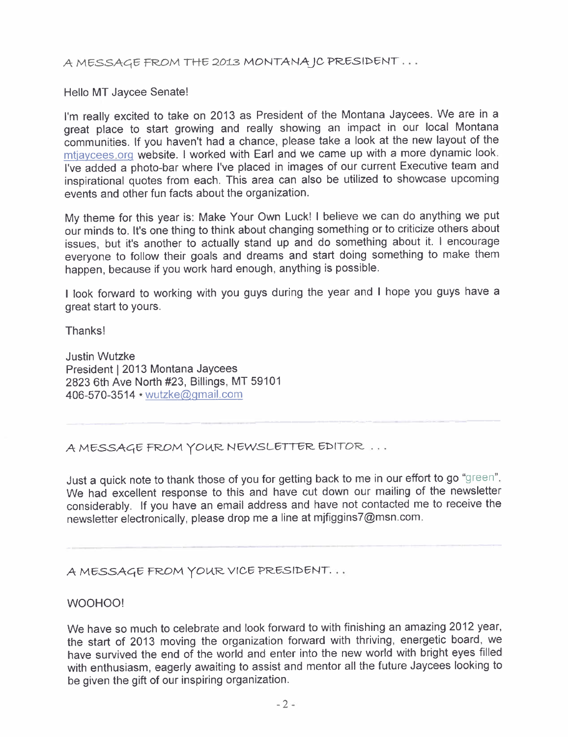A MESSAGE FROM THE 2013 MONTANA IC PRESIDENT ...

Hello MT Jaycee Senate!

I'm really excited to take on 2013 as President of the Montana Jaycees. We are in a great place to start growing and really showing an impact in our local Montana communities. If you haven't had a chance, please take a look at the new layout of the mtiavcees.orq website. I worked with Earl and we came up with a more dynamic look. I've added a photo-bar where I've placed in images of our current Executive team and inspirational quotes from each. This area can also be utilized to showcase upcoming events and other fun facts about the organization.

My theme for this year is: Make Your Own Luck! I believe we can do anything we put our minds to. It's one thing to think about changing something or to criticize others about issues, but it's another to actually stand up and do something about it. I encourage everyone to follow their goals and dreams and start doing something to make them happen, because if you work hard enough, anything is possible.

I look forward to working with you guys during the year and I hope you guys have a great start to yours.

Thanks!

Justin Wutzke President 12013 Montana Jaycees 2823 6th Ave North #23, Billings, MT 59101 406-570-3514 · wutzke@gmail.com

A MESSAGE FROM YOUR NEWSLETTER EDITOR ...

Just a quick note to thank those of you for getting back to me in our effort to go "green". We had excellent response to this and have cut down our mailing of the newsletter considerably. If you have an email address and have not contacted me to receive the newsletter electronically, please drop me a line at mjfiggins7@msn.com.

A MESSAGE FROM YOUR VICE PRESIDENT...

#### WOOHOO!

We have so much to celebrate and look forward to with finishing an amazing 2012 year, the start of 2013 moving the organization forward with thriving, energetic board, we have survived the end of the world and enter into the new world with bright eyes filled with enthusiasm, eagerly awaiting to assist and mentor all the future Jaycees looking to be given the gift of our inspiring organization.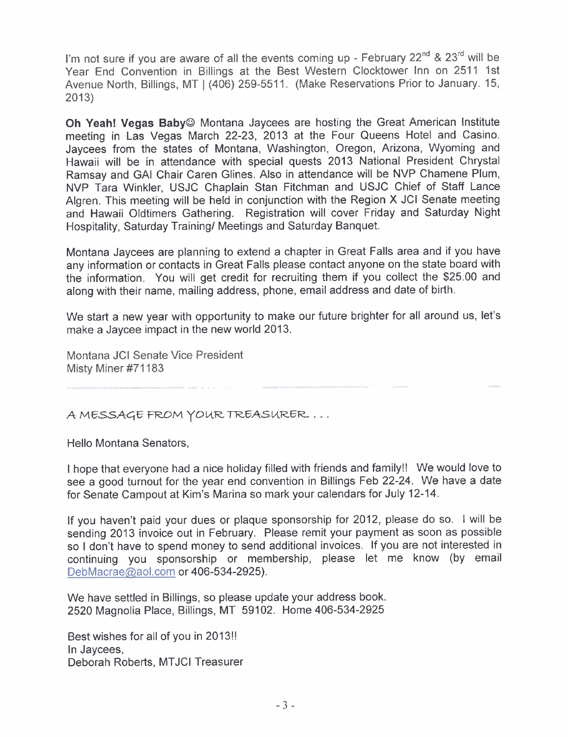I'm not sure if you are aware of all the events coming up - February 22<sup>nd</sup> & 23<sup>rd</sup> will be Year End Convention in Billings at the Best Western Clocktower Inn on 2511 1st Avenue North, Billings, MT I (406) 259-5511. (Make Reservations Prior to January. 15, 2013)

Oh Yeah! Vegas Baby© Montana Jaycees are hosting the Great American Institute meeting in Las Vegas March 22-23, 2013 at the Four Queens Hotel and Casino. Jaycees from the states of Montana, Washington, Oregon, Arizona, Wyoming and Hawaii will be in attendance with special quests 2013 National President Chrystal Ramsay and GAl Chair Caren Glines. Also in attendance will be NVP Chamene Plum, NVP Tara Winkler, USJC Chaplain Stan Fitchman and USJC Chief of Staff Lance Algren. This meeting will be held in conjunction with the Region X JCI Senate meeting and Hawaii Oldtimers Gathering. Registration will cover Friday and Saturday Night Hospitality, Saturday Training/ Meetings and Saturday Banquet.

Montana Jaycees are planning to extend a chapter in Great Falls area and if you have any information or contacts in Great Falls please contact anyone on the state board with the information. You will get credit for recruiting them if you collect the \$25.00 and along with their name, mailing address, phone, email address and date of birth.

We start a new year with opportunity to make our future brighter for all around us, let's make a Jaycee impact in the new world 2013.

Montana JCI Senate Vice President Misty Miner #71183

A MESSAGE FROM YOUR TREASURER. . . .

Hello Montana Senators,

I hope that everyone had a nice holiday filled with friends and family!! We would love to see a good turnout for the year end convention in Billings Feb 22-24. We have a date for Senate Campout at Kim's Marina so mark your calendars for July 12-14.

If you haven't paid your dues or plaque sponsorship for 2012, please do so. I will be sending 2013 invoice out in February. Please remit your payment as soon as possible so I don't have to spend money to send additional invoices. If you are not interested in continuing you sponsorship or membership, please let me know (by email  $DebMacrae@aol.com$  or 406-534-2925).

We have settled in Billings, so please update your address book. 2520 Magnolia Place, Billings, MT 59102. Home 406-534-2925

Best wishes for all of you in 2013!! In Jaycees, Deborah Roberts, MTJCI Treasurer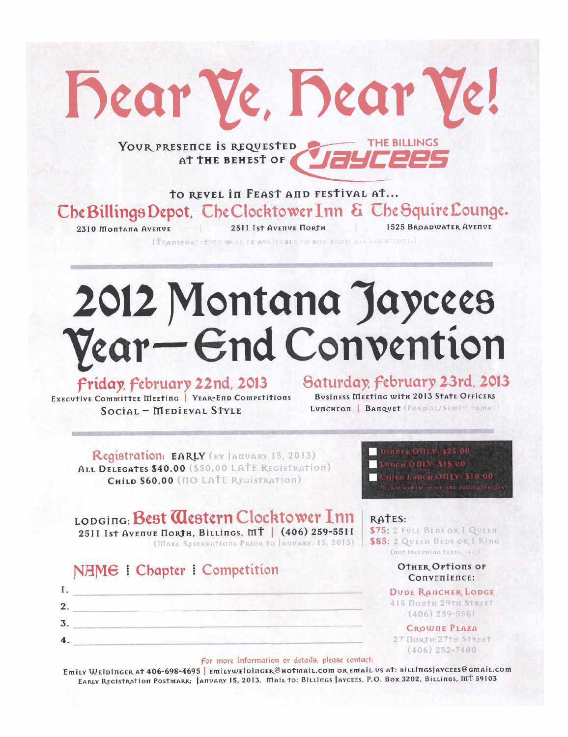**THE BILLINGS** YOUR PRESENCE IS REQUESTED *Jaycees* AT THE BEHEST OF

Dear Ve, Bear V

TO REVEL IN FEAST AND FESTIVAL AT... Che Billings Depot, Che Clocktower Inn & Che Squire Lounge. **I525 BROADWATER AVENUE** 2310 Montana Avenue 2511 Ist Avenue Horth

(TRANSPORTATION WILL BE AVAILABLE TO AND FROM ALL LOCATIONS.)

# 2012 Montana Jaycees Vear-End Convention

### Friday February 22nd, 2013

Saturday, February 23rd, 2013

EXECUTIVE COMMITTEE MEETING | YEAR-END COMPETITIONS Social - Medieval Style

**Business Meeting with 2013 State Officers** LUNCHEON | BANQUET (FORMAL/SEMI-FORMAL)

Registration: EARLY (BY JAHUARY 15, 2013) ALL DELEGATES \$40.00 (\$50.00 LATE REGISTRATION) CHILD \$60.00 (NO LATE REGISTRATION)

# LODGING: Best Clestern Clocktower Inn

25II Ist Avenue Поктн, Billings, MT | (406) 259-55II (MARE RESERVATIONS PRIOR TO JANUARY, 15, 2013)

### NAME : Chapter : Competition



#### LUDGE OTHY \$15 00 CHILD LUICH OILY \$10 00 **ELEBER APPENTUS OF ARY FOOD BURGE**

DINNER ONLY \$25 00

RATES: \$75: 2 FULL BEDS OR I QUEEN

\$85: 2 QUEEN BEDS OR I King (not including taxes, etc.)

#### **OTHER OPTIONS OF** CONVERIENCE:

**DUDE RANCHER LODGE 415 ПОRTH 29TH STREET**  $(406) 259 - 5561$ 

**CROWTHE PLAZA** 27 Повен 27тн Street  $(406)$  252-7400

#### for more information or details, please contact.

Emily Weidinger at 406-698-4695 | emilyweidinger@hotmail.com or email vs at: billingsjaycees@gmail.com EARLY REGISTRATION POSTMARK: ANTUARY 15, 2013. MAIL TO: BILLINGS AYCEES, P.O. BOX 3202, BILLINGS, MT 59103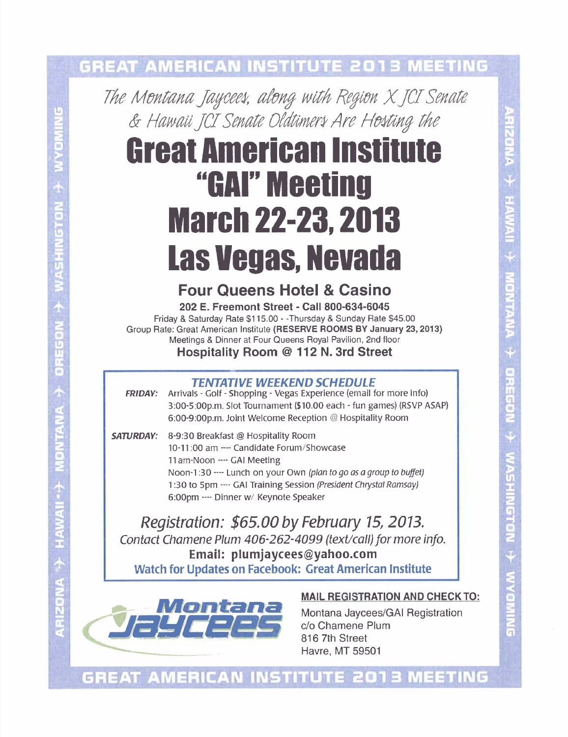## **GREAT AMERICAN INSTITUTE 2013 MEETING**

The Montana Jaycees, along with Region X JCI Senate & Hawaii JCI Senate Oldtimers Are Hosting the

# **Great American Institute** "GAI" Meeting **March 22-23, 2013 Las Vegas, Nevada**

### **Four Queens Hotel & Casino**

202 E. Freemont Street - Call 800-634-6045 Friday & Saturday Rate \$115.00 - - Thursday & Sunday Rate \$45.00 Group Rate: Great American Institute (RESERVE ROOMS BY January 23, 2013) Meetings & Dinner at Four Queens Royal Pavilion, 2nd floor Hospitality Room @ 112 N. 3rd Street

#### **TENTATIVE WEEKEND SCHEDULE**

Arrivals - Golf - Shopping - Vegas Experience (email for more info) **FRIDAY:** 3:00-5:00p.m. Slot Tournament (\$10.00 each - fun games) (RSVP ASAP) 6:00-9:00p.m. Joint Welcome Reception @ Hospitality Room

**SATURDAY:** 8-9:30 Breakfast @ Hospitality Room 10-11:00 am --- Candidate Forum/Showcase 11 am-Noon ---- GAI Meeting Noon-1:30 ---- Lunch on your Own (plan to go as a group to buffet) 1:30 to 5pm ---- GAI Training Session (President Chrystal Ramsay) 6:00pm ---- Dinner w/ Keynote Speaker

Registration: \$65.00 by February 15, 2013. Contact Chamene Plum 406-262-4099 (text/call) for more info. Email: plumjaycees@yahoo.com **Watch for Updates on Facebook: Great American Institute** 



#### **MAIL REGISTRATION AND CHECK TO:**

Montana Jaycees/GAI Registration c/o Chamene Plum 816 7th Street **Havre, MT 59501** 

**GREAT AMERICAN INSTITUTE 2013**